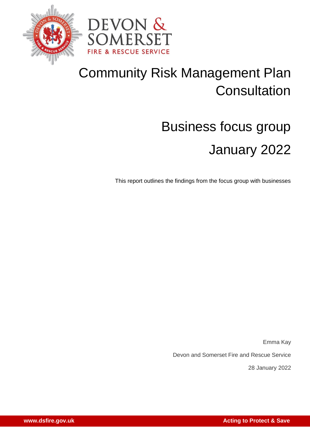



## Community Risk Management Plan **Consultation**

# Business focus group January 2022

This report outlines the findings from the focus group with businesses

Emma Kay

Devon and Somerset Fire and Rescue Service

28 January 2022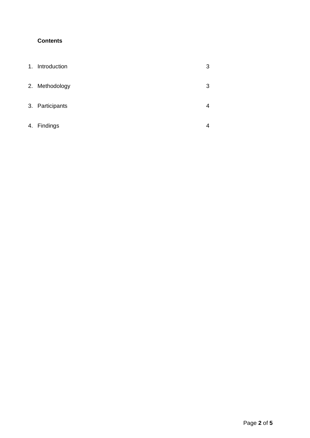### **Contents**

| $\mathbf{1}$ . | Introduction    | 3 |
|----------------|-----------------|---|
|                | 2. Methodology  | 3 |
|                | 3. Participants | 4 |
| 4.             | Findings        |   |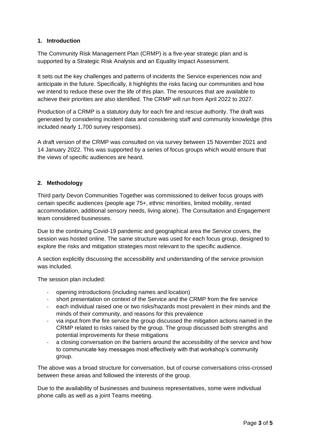#### **1. Introduction**

The Community Risk Management Plan (CRMP) is a five-year strategic plan and is supported by a Strategic Risk Analysis and an Equality Impact Assessment.

It sets out the key challenges and patterns of incidents the Service experiences now and anticipate in the future. Specifically, it highlights the risks facing our communities and how we intend to reduce these over the life of this plan. The resources that are available to achieve their priorities are also identified. The CRMP will run from April 2022 to 2027.

Production of a CRMP is a statutory duty for each fire and rescue authority. The draft was generated by considering incident data and considering staff and community knowledge (this included nearly 1,700 survey responses).

A draft version of the CRMP was consulted on via survey between 15 November 2021 and 14 January 2022. This was supported by a series of focus groups which would ensure that the views of specific audiences are heard.

#### **2. Methodology**

Third party Devon Communities Together was commissioned to deliver focus groups with certain specific audiences (people age 75+, ethnic minorities, limited mobility, rented accommodation, additional sensory needs, living alone). The Consultation and Engagement team considered businesses.

Due to the continuing Covid-19 pandemic and geographical area the Service covers, the session was hosted online. The same structure was used for each focus group, designed to explore the risks and mitigation strategies most relevant to the specific audience.

A section explicitly discussing the accessibility and understanding of the service provision was included.

The session plan included:

- opening introductions (including names and location)
- short presentation on context of the Service and the CRMP from the fire service
- each individual raised one or two risks/hazards most prevalent in their minds and the minds of their community, and reasons for this prevalence
- via input from the fire service the group discussed the mitigation actions named in the CRMP related to risks raised by the group. The group discussed both strengths and potential improvements for these mitigations
- a closing conversation on the barriers around the accessibility of the service and how to communicate key messages most effectively with that workshop's community group.

The above was a broad structure for conversation, but of course conversations criss-crossed between these areas and followed the interests of the group.

Due to the availability of businesses and business representatives, some were individual phone calls as well as a joint Teams meeting.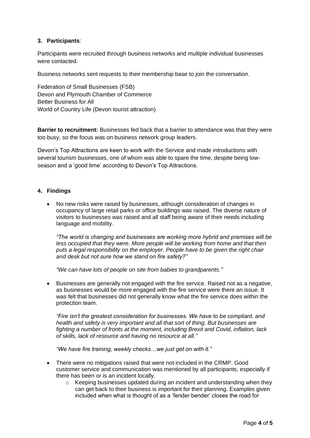#### **3. Participants**:

Participants were recruited through business networks and multiple individual businesses were contacted.

Business networks sent requests to their membership base to join the conversation.

Federation of Small Businesses (FSB) Devon and Plymouth Chamber of Commerce Better Business for All World of Country Life (Devon tourist attraction)

**Barrier to recruitment:** Businesses fed back that a barrier to attendance was that they were too busy, so the focus was on business network group leaders.

Devon's Top Attractions are keen to work with the Service and made introductions with several tourism businesses, one of whom was able to spare the time, despite being lowseason and a 'good time' according to Devon's Top Attractions.

#### **4. Findings**

• No new risks were raised by businesses, although consideration of changes in occupancy of large retail parks or office buildings was raised. The diverse nature of visitors to businesses was raised and all staff being aware of their needs including language and mobility.

*"The world is changing and businesses are working more hybrid and premises will be less occupied that they were. More people will be working from home and that then puts a legal responsibility on the employer. People have to be given the right chair and desk but not sure how we stand on fire safety?"*

*"We can have lots of people on site from babies to grandparents."*

• Businesses are generally not engaged with the fire service. Raised not as a negative, as businesses would be more engaged with the fire service were there an issue. It was felt that businesses did not generally know what the fire service does within the protection team.

*"Fire isn't the greatest consideration for businesses. We have to be compliant, and health and safety is very important and all that sort of thing. But businesses are fighting a number of fronts at the moment, including Brexit and Covid, inflation, lack of skills, lack of resource and having no resource at all."*

*"We have fire training, weekly checks…we just get on with it."*

- There were no mitigations raised that were not included in the CRMP. Good customer service and communication was mentioned by all participants, especially if there has been or is an incident locally.
	- o Keeping businesses updated during an incident and understanding when they can get back to their business is important for their planning. Examples given included when what is thought of as a 'fender bender' closes the road for